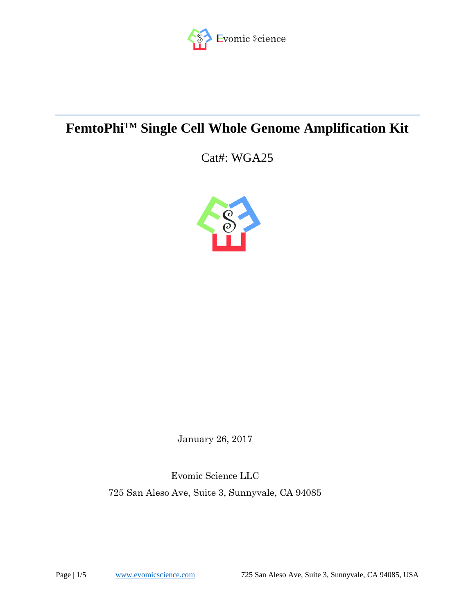

# **FemtoPhiTM Single Cell Whole Genome Amplification Kit**

Cat#: WGA25



January 26, 2017

Evomic Science LLC 725 San Aleso Ave, Suite 3, Sunnyvale, CA 94085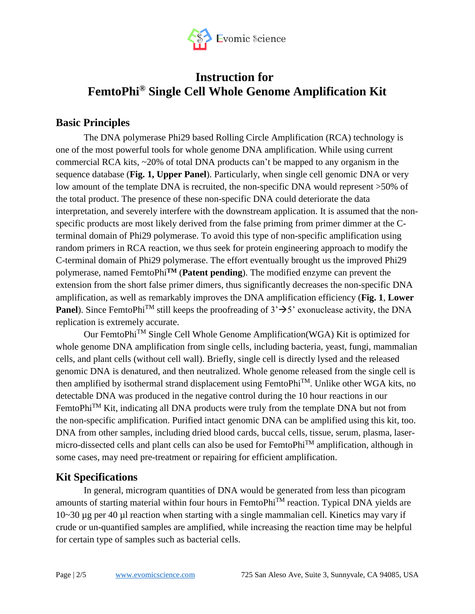

## **Instruction for FemtoPhi® Single Cell Whole Genome Amplification Kit**

### **Basic Principles**

The DNA polymerase Phi29 based Rolling Circle Amplification (RCA) technology is one of the most powerful tools for whole genome DNA amplification. While using current commercial RCA kits, ~20% of total DNA products can't be mapped to any organism in the sequence database (**Fig. 1, Upper Panel**). Particularly, when single cell genomic DNA or very low amount of the template DNA is recruited, the non-specific DNA would represent >50% of the total product. The presence of these non-specific DNA could deteriorate the data interpretation, and severely interfere with the downstream application. It is assumed that the nonspecific products are most likely derived from the false priming from primer dimmer at the Cterminal domain of Phi29 polymerase. To avoid this type of non-specific amplification using random primers in RCA reaction, we thus seek for protein engineering approach to modify the C-terminal domain of Phi29 polymerase. The effort eventually brought us the improved Phi29 polymerase, named FemtoPhi**TM** (**Patent pending**). The modified enzyme can prevent the extension from the short false primer dimers, thus significantly decreases the non-specific DNA amplification, as well as remarkably improves the DNA amplification efficiency (**Fig. 1**, **Lower Panel**). Since FemtoPhi<sup>TM</sup> still keeps the proofreading of  $3' \rightarrow 5'$  exonuclease activity, the DNA replication is extremely accurate.

Our FemtoPhi<sup>TM</sup> Single Cell Whole Genome Amplification(WGA) Kit is optimized for whole genome DNA amplification from single cells, including bacteria, yeast, fungi, mammalian cells, and plant cells (without cell wall). Briefly, single cell is directly lysed and the released genomic DNA is denatured, and then neutralized. Whole genome released from the single cell is then amplified by isothermal strand displacement using FemtoPhiTM. Unlike other WGA kits, no detectable DNA was produced in the negative control during the 10 hour reactions in our FemtoPhi<sup>™</sup> Kit, indicating all DNA products were truly from the template DNA but not from the non-specific amplification. Purified intact genomic DNA can be amplified using this kit, too. DNA from other samples, including dried blood cards, buccal cells, tissue, serum, plasma, lasermicro-dissected cells and plant cells can also be used for FemtoPhi<sup>™</sup> amplification, although in some cases, may need pre-treatment or repairing for efficient amplification.

### **Kit Specifications**

In general, microgram quantities of DNA would be generated from less than picogram amounts of starting material within four hours in FemtoPhi<sup>TM</sup> reaction. Typical DNA yields are 10~30 µg per 40 µl reaction when starting with a single mammalian cell. Kinetics may vary if crude or un-quantified samples are amplified, while increasing the reaction time may be helpful for certain type of samples such as bacterial cells.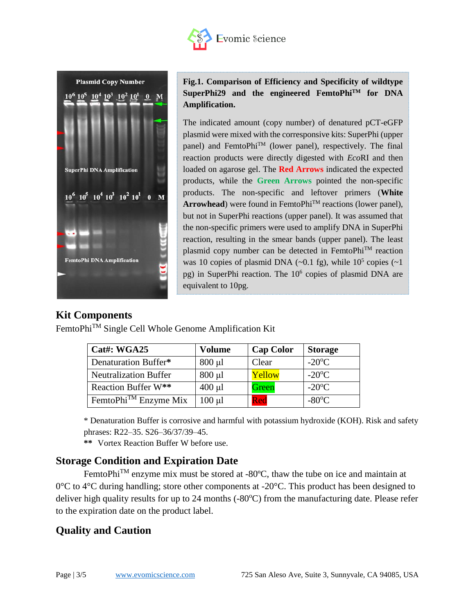



**Fig.1. Comparison of Efficiency and Specificity of wildtype SuperPhi29 and the engineered FemtoPhiTM for DNA Amplification.** 

The indicated amount (copy number) of denatured pCT-eGFP plasmid were mixed with the corresponsive kits: SuperPhi (upper panel) and FemtoPhi<sup>TM</sup> (lower panel), respectively. The final reaction products were directly digested with *Eco*RI and then loaded on agarose gel. The **Red Arrows** indicated the expected products, while the **Green Arrows** pointed the non-specific products. The non-specific and leftover primers (**White Arrowhead**) were found in FemtoPhi<sup>™</sup> reactions (lower panel), but not in SuperPhi reactions (upper panel). It was assumed that the non-specific primers were used to amplify DNA in SuperPhi reaction, resulting in the smear bands (upper panel). The least plasmid copy number can be detected in FemtoPhi™ reaction was 10 copies of plasmid DNA  $(\sim 0.1 \text{ fg})$ , while  $10^5$  copies  $(\sim 1$ pg) in SuperPhi reaction. The 10<sup>6</sup> copies of plasmid DNA are equivalent to 10pg.

#### **Kit Components**

FemtoPhiTM Single Cell Whole Genome Amplification Kit

| Cat#: WGA25                      | <b>Volume</b> | <b>Cap Color</b> | <b>Storage</b>  |
|----------------------------------|---------------|------------------|-----------------|
| Denaturation Buffer*             | $800 \mu l$   | Clear            | $-20^{\circ}$ C |
| <b>Neutralization Buffer</b>     | $800 \mu l$   | Yellow           | $-20^{\circ}$ C |
| Reaction Buffer W**              | $400 \mu l$   | Green            | $-20^{\circ}$ C |
| FemtoPhi <sup>™</sup> Enzyme Mix | $100 \mu l$   | Red              | $-80^{\circ}$ C |

\* Denaturation Buffer is corrosive and harmful with potassium hydroxide (KOH). Risk and safety phrases: R22–35. S26–36/37/39–45.

**\*\*** Vortex Reaction Buffer W before use.

#### **Storage Condition and Expiration Date**

FemtoPhi<sup>TM</sup> enzyme mix must be stored at -80 $^{\circ}$ C, thaw the tube on ice and maintain at  $0^{\circ}$ C to 4<sup>o</sup>C during handling; store other components at -20<sup>o</sup>C. This product has been designed to deliver high quality results for up to 24 months  $(-80^{\circ}C)$  from the manufacturing date. Please refer to the expiration date on the product label.

## **Quality and Caution**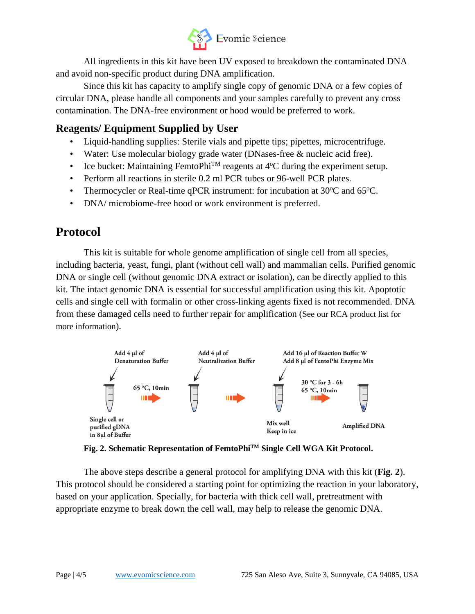

All ingredients in this kit have been UV exposed to breakdown the contaminated DNA and avoid non-specific product during DNA amplification.

Since this kit has capacity to amplify single copy of genomic DNA or a few copies of circular DNA, please handle all components and your samples carefully to prevent any cross contamination. The DNA-free environment or hood would be preferred to work.

### **Reagents/ Equipment Supplied by User**

- Liquid-handling supplies: Sterile vials and pipette tips; pipettes, microcentrifuge.
- Water: Use molecular biology grade water (DNases-free & nucleic acid free).
- Ice bucket: Maintaining FemtoPhi<sup>TM</sup> reagents at  $4^{\circ}$ C during the experiment setup.
- Perform all reactions in sterile 0.2 ml PCR tubes or 96-well PCR plates.
- Thermocycler or Real-time qPCR instrument: for incubation at  $30^{\circ}$ C and  $65^{\circ}$ C.
- DNA/ microbiome-free hood or work environment is preferred.

## **Protocol**

This kit is suitable for whole genome amplification of single cell from all species, including bacteria, yeast, fungi, plant (without cell wall) and mammalian cells. Purified genomic DNA or single cell (without genomic DNA extract or isolation), can be directly applied to this kit. The intact genomic DNA is essential for successful amplification using this kit. Apoptotic cells and single cell with formalin or other cross-linking agents fixed is not recommended. DNA from these damaged cells need to further repair for amplification (See our RCA product list for more information).



**Fig. 2. Schematic Representation of FemtoPhiTM Single Cell WGA Kit Protocol.**

The above steps describe a general protocol for amplifying DNA with this kit (**Fig. 2**). This protocol should be considered a starting point for optimizing the reaction in your laboratory, based on your application. Specially, for bacteria with thick cell wall, pretreatment with appropriate enzyme to break down the cell wall, may help to release the genomic DNA.